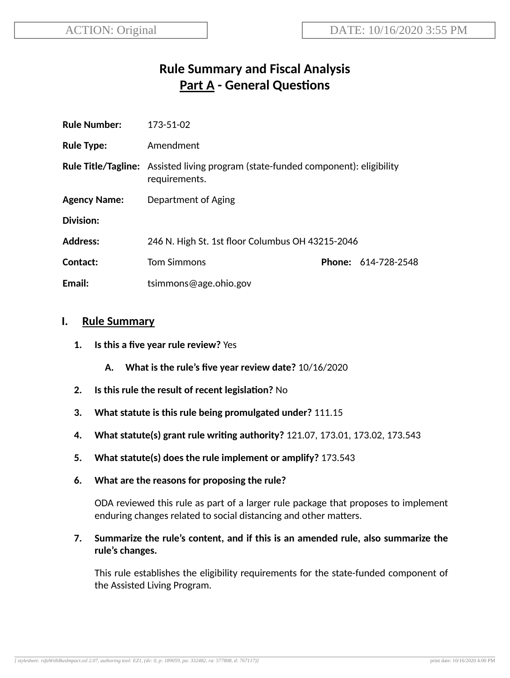# **Rule Summary and Fiscal Analysis Part A - General Questions**

| <b>Rule Number:</b> | 173-51-02                                                                                                 |  |                            |
|---------------------|-----------------------------------------------------------------------------------------------------------|--|----------------------------|
| <b>Rule Type:</b>   | Amendment                                                                                                 |  |                            |
|                     | <b>Rule Title/Tagline:</b> Assisted living program (state-funded component): eligibility<br>requirements. |  |                            |
| <b>Agency Name:</b> | Department of Aging                                                                                       |  |                            |
| <b>Division:</b>    |                                                                                                           |  |                            |
| <b>Address:</b>     | 246 N. High St. 1st floor Columbus OH 43215-2046                                                          |  |                            |
| Contact:            | <b>Tom Simmons</b>                                                                                        |  | <b>Phone: 614-728-2548</b> |
| Email:              | tsimmons@age.ohio.gov                                                                                     |  |                            |

#### **I. Rule Summary**

- **1. Is this a five year rule review?** Yes
	- **A. What is the rule's five year review date?** 10/16/2020
- **2.** Is this rule the result of recent legislation? No
- **3. What statute is this rule being promulgated under?** 111.15
- **4. What statute(s) grant rule wring authority?** 121.07, 173.01, 173.02, 173.543
- **5. What statute(s) does the rule implement or amplify?** 173.543
- **6. What are the reasons for proposing the rule?**

ODA reviewed this rule as part of a larger rule package that proposes to implement enduring changes related to social distancing and other matters.

**7. Summarize the rule's content, and if this is an amended rule, also summarize the rule's changes.**

This rule establishes the eligibility requirements for the state-funded component of the Assisted Living Program.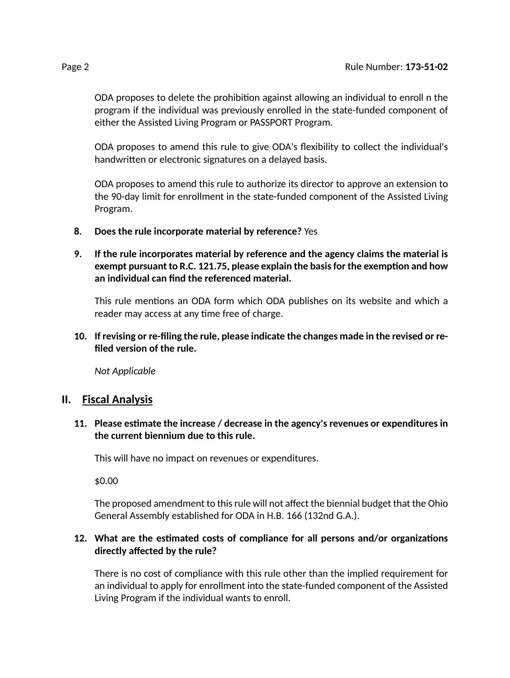ODA proposes to delete the prohibition against allowing an individual to enroll n the program if the individual was previously enrolled in the state-funded component of either the Assisted Living Program or PASSPORT Program.

ODA proposes to amend this rule to give ODA's flexibility to collect the individual's handwritten or electronic signatures on a delayed basis.

ODA proposes to amend this rule to authorize its director to approve an extension to the 90-day limit for enrollment in the state-funded component of the Assisted Living Program.

- **8. Does the rule incorporate material by reference?** Yes
- **9. If the rule incorporates material by reference and the agency claims the material is exempt pursuant to R.C. 121.75, please explain the basisfor the exempon and how an individual can find the referenced material.**

This rule mentions an ODA form which ODA publishes on its website and which a reader may access at any time free of charge.

**10. If revising or re-filing the rule, please indicate the changes made in the revised or refiled version of the rule.**

*Not Applicable*

## **II. Fiscal Analysis**

**11. Please esmate the increase / decrease in the agency's revenues or expenditures in the current biennium due to this rule.**

This will have no impact on revenues or expenditures.

\$0.00

The proposed amendment to this rule will not affect the biennial budget that the Ohio General Assembly established for ODA in H.B. 166 (132nd G.A.).

#### **12. What are the esmated costs of compliance for all persons and/or organizaons directly affected by the rule?**

There is no cost of compliance with this rule other than the implied requirement for an individual to apply for enrollment into the state-funded component of the Assisted Living Program if the individual wants to enroll.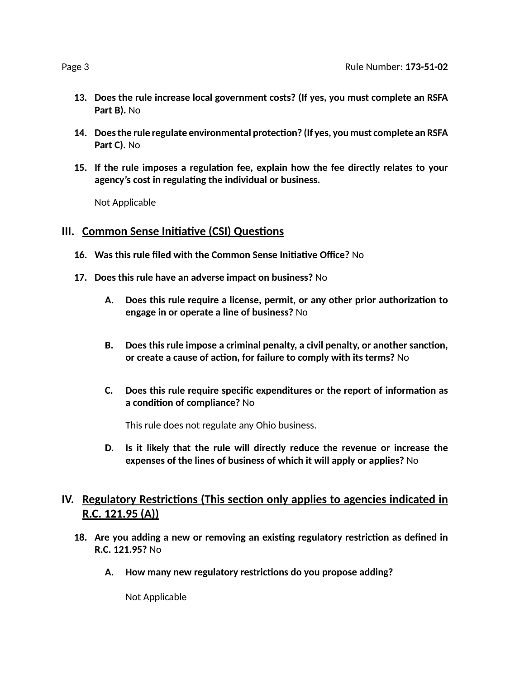- **13. Does the rule increase local government costs? (If yes, you must complete an RSFA Part B).** No
- **14. Doesthe rule regulate environmental protecon? (If yes, you must complete an RSFA Part C).** No
- **15. If the rule imposes a regulaon fee, explain how the fee directly relates to your agency's cost in regulang the individual or business.**

Not Applicable

## **III.** Common Sense Initiative (CSI) Questions

- **16. Was this rule filed with the Common Sense Iniave Office?** No
- **17. Does this rule have an adverse impact on business?** No
	- **A. Does this rule require a license, permit, or any other prior authorizaon to engage in or operate a line of business?** No
	- **B. Does this rule impose a criminal penalty, a civil penalty, or another sancon, or create a cause of acon, for failure to comply with its terms?** No
	- **C. Does this rule require specific expenditures or the report of informaon as a condion of compliance?** No

This rule does not regulate any Ohio business.

**D. Is it likely that the rule will directly reduce the revenue or increase the expenses of the lines of business of which it will apply or applies?** No

# **IV.** Regulatory Restrictions (This section only applies to agencies indicated in **R.C. 121.95 (A))**

- **18. Are you adding a new or removing an exisng regulatory restricon as defined in R.C. 121.95?** No
	- **A. How many new regulatory restricons do you propose adding?**

Not Applicable